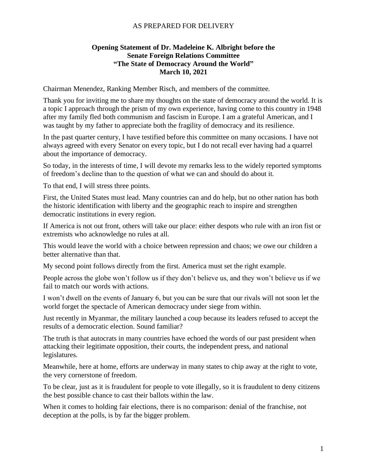## AS PREPARED FOR DELIVERY

## **Opening Statement of Dr. Madeleine K. Albright before the Senate Foreign Relations Committee "The State of Democracy Around the World" March 10, 2021**

Chairman Menendez, Ranking Member Risch, and members of the committee.

Thank you for inviting me to share my thoughts on the state of democracy around the world. It is a topic I approach through the prism of my own experience, having come to this country in 1948 after my family fled both communism and fascism in Europe. I am a grateful American, and I was taught by my father to appreciate both the fragility of democracy and its resilience.

In the past quarter century, I have testified before this committee on many occasions. I have not always agreed with every Senator on every topic, but I do not recall ever having had a quarrel about the importance of democracy.

So today, in the interests of time, I will devote my remarks less to the widely reported symptoms of freedom's decline than to the question of what we can and should do about it.

To that end, I will stress three points.

First, the United States must lead. Many countries can and do help, but no other nation has both the historic identification with liberty and the geographic reach to inspire and strengthen democratic institutions in every region.

If America is not out front, others will take our place: either despots who rule with an iron fist or extremists who acknowledge no rules at all.

This would leave the world with a choice between repression and chaos; we owe our children a better alternative than that.

My second point follows directly from the first. America must set the right example.

People across the globe won't follow us if they don't believe us, and they won't believe us if we fail to match our words with actions.

I won't dwell on the events of January 6, but you can be sure that our rivals will not soon let the world forget the spectacle of American democracy under siege from within.

Just recently in Myanmar, the military launched a coup because its leaders refused to accept the results of a democratic election. Sound familiar?

The truth is that autocrats in many countries have echoed the words of our past president when attacking their legitimate opposition, their courts, the independent press, and national legislatures.

Meanwhile, here at home, efforts are underway in many states to chip away at the right to vote, the very cornerstone of freedom.

To be clear, just as it is fraudulent for people to vote illegally, so it is fraudulent to deny citizens the best possible chance to cast their ballots within the law.

When it comes to holding fair elections, there is no comparison: denial of the franchise, not deception at the polls, is by far the bigger problem.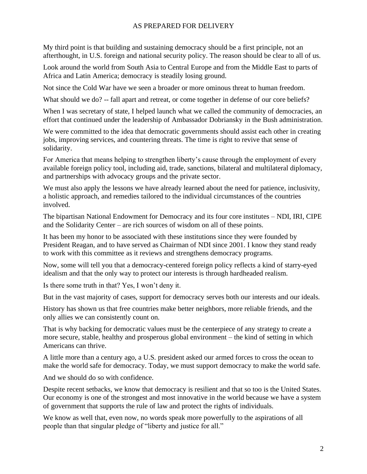## AS PREPARED FOR DELIVERY

My third point is that building and sustaining democracy should be a first principle, not an afterthought, in U.S. foreign and national security policy. The reason should be clear to all of us.

Look around the world from South Asia to Central Europe and from the Middle East to parts of Africa and Latin America; democracy is steadily losing ground.

Not since the Cold War have we seen a broader or more ominous threat to human freedom.

What should we do? -- fall apart and retreat, or come together in defense of our core beliefs?

When I was secretary of state, I helped launch what we called the community of democracies, an effort that continued under the leadership of Ambassador Dobriansky in the Bush administration.

We were committed to the idea that democratic governments should assist each other in creating jobs, improving services, and countering threats. The time is right to revive that sense of solidarity.

For America that means helping to strengthen liberty's cause through the employment of every available foreign policy tool, including aid, trade, sanctions, bilateral and multilateral diplomacy, and partnerships with advocacy groups and the private sector.

We must also apply the lessons we have already learned about the need for patience, inclusivity, a holistic approach, and remedies tailored to the individual circumstances of the countries involved.

The bipartisan National Endowment for Democracy and its four core institutes – NDI, IRI, CIPE and the Solidarity Center – are rich sources of wisdom on all of these points.

It has been my honor to be associated with these institutions since they were founded by President Reagan, and to have served as Chairman of NDI since 2001. I know they stand ready to work with this committee as it reviews and strengthens democracy programs.

Now, some will tell you that a democracy-centered foreign policy reflects a kind of starry-eyed idealism and that the only way to protect our interests is through hardheaded realism.

Is there some truth in that? Yes, I won't deny it.

But in the vast majority of cases, support for democracy serves both our interests and our ideals.

History has shown us that free countries make better neighbors, more reliable friends, and the only allies we can consistently count on.

That is why backing for democratic values must be the centerpiece of any strategy to create a more secure, stable, healthy and prosperous global environment – the kind of setting in which Americans can thrive.

A little more than a century ago, a U.S. president asked our armed forces to cross the ocean to make the world safe for democracy. Today, we must support democracy to make the world safe.

And we should do so with confidence.

Despite recent setbacks, we know that democracy is resilient and that so too is the United States. Our economy is one of the strongest and most innovative in the world because we have a system of government that supports the rule of law and protect the rights of individuals.

We know as well that, even now, no words speak more powerfully to the aspirations of all people than that singular pledge of "liberty and justice for all."